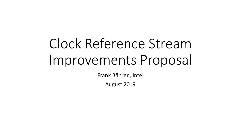# Clock Reference Stream Improvements Proposal

Frank Bähren, Intel

August 2019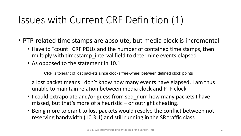## Issues with Current CRF Definition (1)

- PTP-related time stamps are absolute, but media clock is incremental
	- Have to "count" CRF PDUs and the number of contained time stamps, then multiply with timestamp\_interval field to determine events elapsed
	- As opposed to the statement in 10.1

CRF is tolerant of lost packets since clocks free-wheel between defined clock points

a lost packet means I don't know how many events have elapsed, I am thus unable to maintain relation between media clock and PTP clock

- I could extrapolate and/or guess from seq num how many packets I have missed, but that's more of a heuristic  $-$  or outright cheating.
- Being more tolerant to lost packets would resolve the conflict between not reserving bandwidth (10.3.1) and still running in the SR traffic class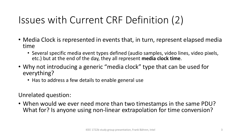# Issues with Current CRF Definition (2)

- Media Clock is represented in events that, in turn, represent elapsed media time
	- Several specific media event types defined (audio samples, video lines, video pixels, etc.) but at the end of the day, they all represent **media clock time**.
- Why not introducing a generic "media clock" type that can be used for everything?
	- Has to address a few details to enable general use

Unrelated question:

• When would we ever need more than two timestamps in the same PDU? What for? Is anyone using non-linear extrapolation for time conversion?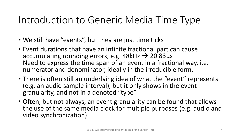#### Introduction to Generic Media Time Type

- We still have "events", but they are just time ticks
- Event durations that have an infinite fractional part can cause accumulating rounding errors, e.g. 48kHz  $\rightarrow$  20.83µs Need to express the time span of an event in a fractional way, i.e. numerator and denominator, ideally in the irreducible form.
- There is often still an underlying idea of what the "event" represents (e.g. an audio sample interval), but it only shows in the event granularity, and not in a denoted "type"
- Often, but not always, an event granularity can be found that allows the use of the same media clock for multiple purposes (e.g. audio and video synchronization)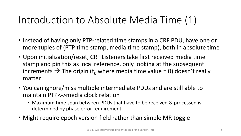### Introduction to Absolute Media Time (1)

- Instead of having only PTP-related time stamps in a CRF PDU, have one or more tuples of (PTP time stamp, media time stamp), both in absolute time
- Upon initialization/reset, CRF Listeners take first received media time stamp and pin this as local reference, only looking at the subsequent increments  $\rightarrow$  The origin (t<sub>o</sub> where media time value = 0) doesn't really matter
- You can ignore/miss multiple intermediate PDUs and are still able to maintain PTP<->media clock relation
	- Maximum time span between PDUs that have to be received & processed is determined by phase error requirement
- Might require epoch version field rather than simple MR toggle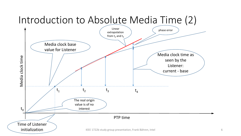